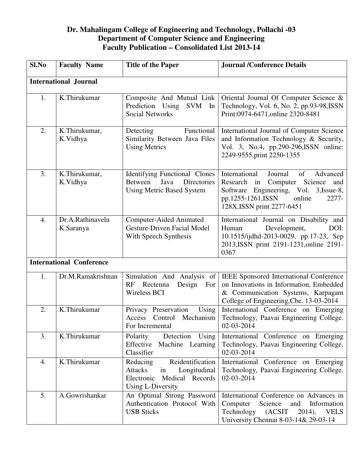## **Dr. Mahalingam College of Engineering and Technology, Pollachi -03 Department of Computer Science and Engineering Faculty Publication – Consolidated List 2013-14**

| Sl.No                           | <b>Faculty Name</b>           | <b>Title of the Paper</b>                                                                                                  | <b>Journal /Conference Details</b>                                                                                                                                                                 |  |
|---------------------------------|-------------------------------|----------------------------------------------------------------------------------------------------------------------------|----------------------------------------------------------------------------------------------------------------------------------------------------------------------------------------------------|--|
| <b>International Journal</b>    |                               |                                                                                                                            |                                                                                                                                                                                                    |  |
| 1.                              | K.Thirukumar                  | Composite And Mutual Link<br>Prediction Using SVM<br>In<br><b>Social Networks</b>                                          | Oriental Journal Of Computer Science &<br>Technology, Vol. 6, No. 2, pp.93-98, ISSN<br>Print:0974-6471, online 2320-8481                                                                           |  |
| 2.                              | K.Thirukumar,<br>K.Vidhya     | Functional<br>Detecting<br>Similarity Between Java Files<br><b>Using Metrics</b>                                           | International Journal of Computer Science<br>and Information Technology & Security,<br>Vol. 3, No.4, pp.290-296, ISSN online:<br>2249-9555, print 2250-1355                                        |  |
| 3.                              | K.Thirukumar,<br>K.Vidhya     | <b>Identifying Functional Clones</b><br>Between<br>Java<br>Directories<br><b>Using Metric Based System</b>                 | International<br>Journal<br>of<br>Advanced<br>Research in Computer Science<br>and<br>Software Engineering, Vol. 3, Issue-8,<br>pp.1255-1261, ISSN<br>online<br>2277-<br>128X, ISSN print 2277-6451 |  |
| 4.                              | Dr.A.Rathinavelu<br>K.Saranya | <b>Computer-Aided Animated</b><br><b>Gesture-Driven Facial Model</b><br>With Speech Synthesis                              | International Journal on Disability and<br>Development,<br>Human<br>DOI:<br>10.1515/ijdhd-2013-0029, pp.17-23, Sep<br>2013, ISSN print 2191-1231, online 2191-<br>0367                             |  |
| <b>International Conference</b> |                               |                                                                                                                            |                                                                                                                                                                                                    |  |
| 1.                              | Dr.M.Ramakrishnan             | Simulation And Analysis of<br>Rectenna<br>RF<br>Design<br>For<br>Wireless BCI                                              | IEEE Sponsored International Conference<br>on Innovations in Information, Embedded<br>& Communication Systems, Karpagam<br>College of Engineering, Cbe. 13-03-2014                                 |  |
| 2.                              | K.Thirukumar                  | Privacy Preservation<br>Using<br>Access Control Mechanism<br>For Incremental                                               | International Conference on Emerging<br>Technology, Paavai Engineering College.<br>02-03-2014                                                                                                      |  |
| 3.                              | K.Thirukumar                  | Polarity<br>Detection<br>Using<br>Effective<br>Machine Learning<br>Classifier                                              | International Conference on Emerging<br>Technology, Paavai Engineering College.<br>02-03-2014                                                                                                      |  |
| 4.                              | K.Thirukumar                  | Reidentification<br>Reducing<br>in<br><b>Attacks</b><br>Longitudinal<br>Electronic<br>Medical Records<br>Using L-Diversity | International Conference on Emerging<br>Technology, Paavai Engineering College.<br>02-03-2014                                                                                                      |  |
| 5.                              | A.Gowrishankar                | An Optimal Strong Password<br>Authentication Protocol With<br><b>USB Sticks</b>                                            | International Conference on Advances in<br>Science<br>Computer<br>and<br>Information<br>Technology<br>(ACSIT)<br>$2014$ ,<br><b>VELS</b><br>University Chennai 8-03-14& 29-03-14                   |  |